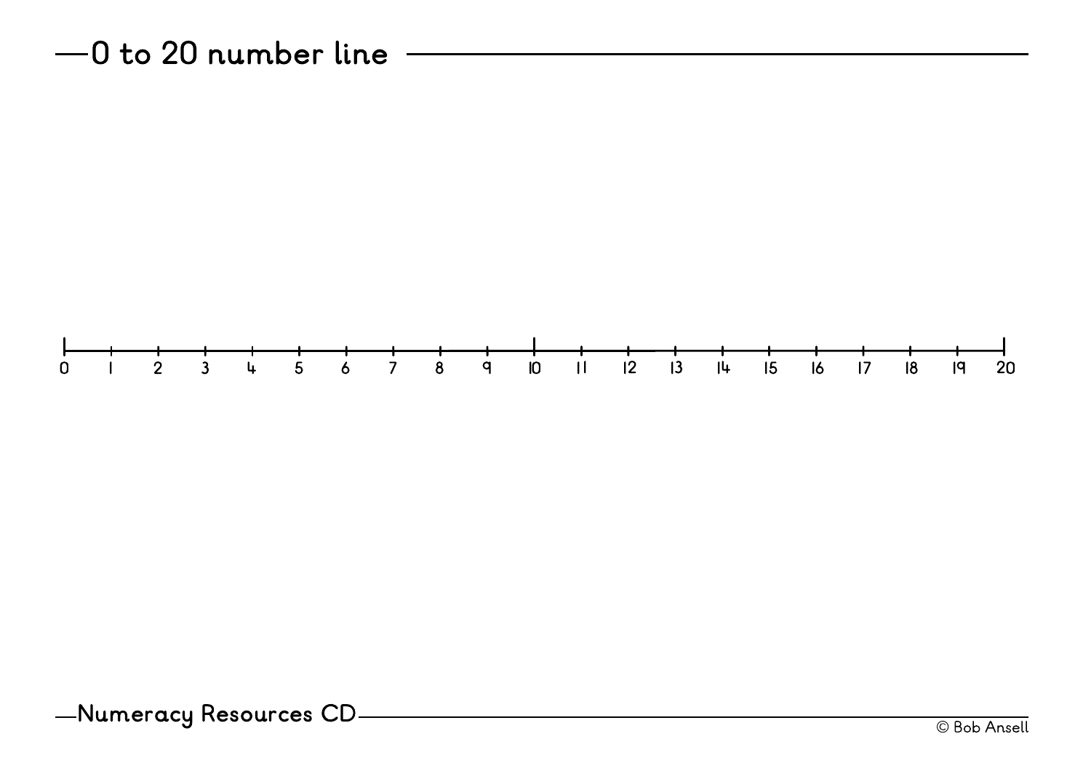$-0$  to 20 number line -



Numeracy Resources CD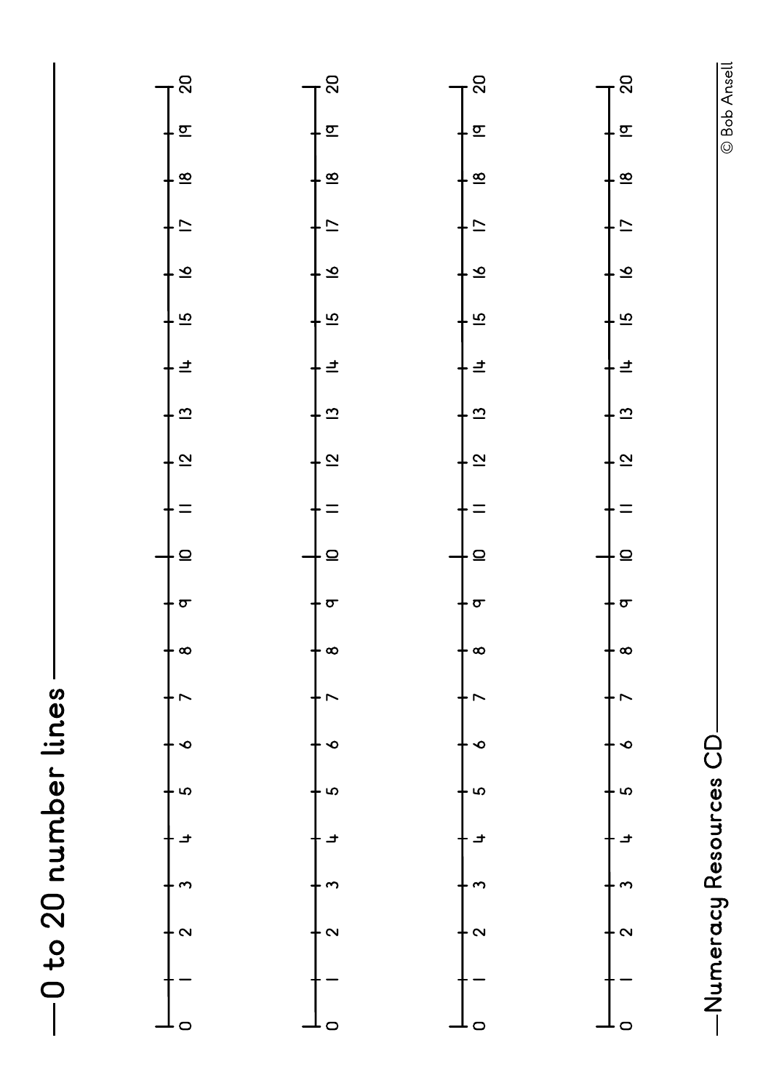



© Bob Ansell © Bob Ansell

Numeracy Resources CD -Numeracy Resources CD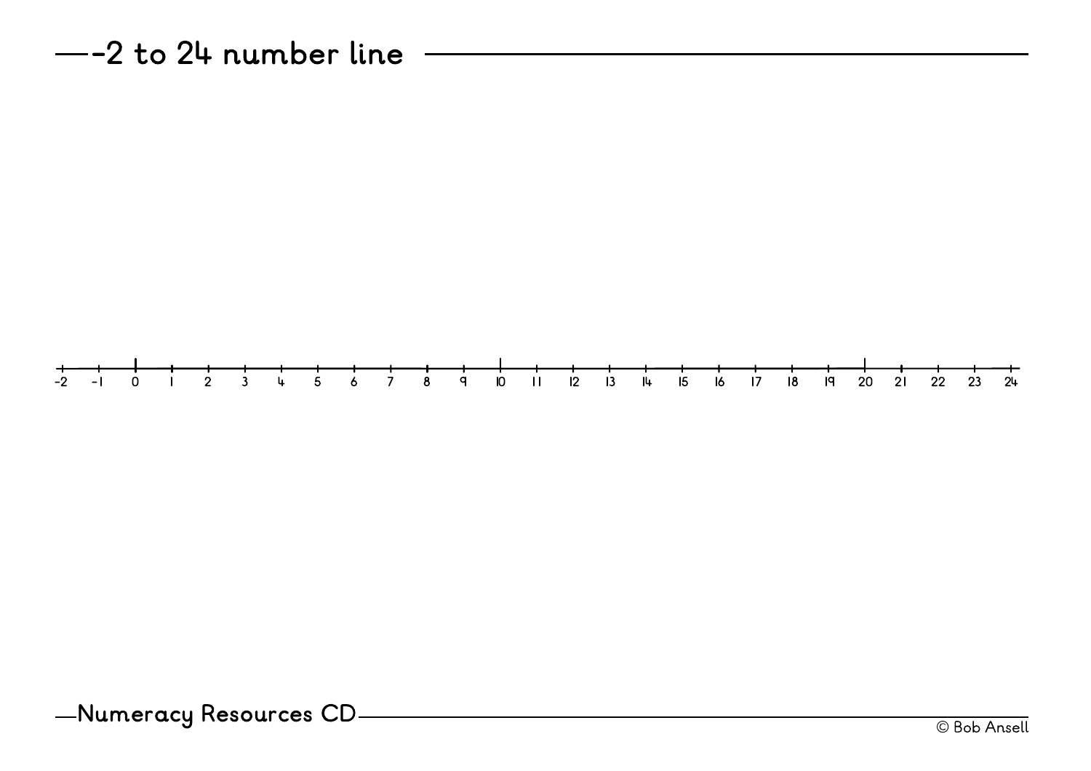$-$ -2 to 24 number line  $-$ 



Numeracy Resources CD